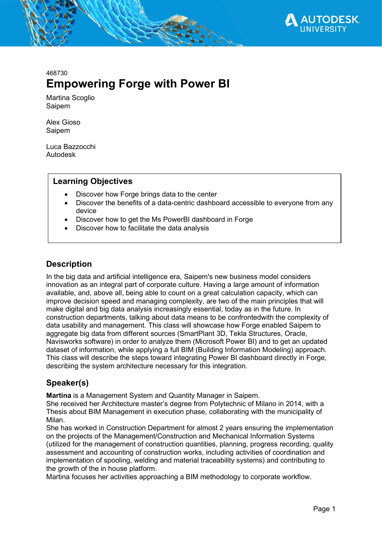

# 468730 Empowering Forge with Power BI

Martina Scoglio Saipem

Alex Gioso Saipem

Luca Bazzocchi Autodesk

## Learning Objectives

- Discover how Forge brings data to the center
- Discover the benefits of a data-centric dashboard accessible to everyone from any device
- Discover how to get the Ms PowerBI dashboard in Forge
- Discover how to facilitate the data analysis

## **Description**

In the big data and artificial intelligence era, Saipem's new business model considers innovation as an integral part of corporate culture. Having a large amount of information available, and, above all, being able to count on a great calculation capacity, which can improve decision speed and managing complexity, are two of the main principles that will make digital and big data analysis increasingly essential, today as in the future. In construction departments, talking about data means to be confrontedwith the complexity of data usability and management. This class will showcase how Forge enabled Saipem to aggregate big data from different sources (SmartPlant 3D, Tekla Structures, Oracle, Navisworks software) in order to analyze them (Microsoft Power BI) and to get an updated dataset of information, while applying a full BIM (Building Information Modeling) approach. This class will describe the steps toward integrating Power BI dashboard directly in Forge, describing the system architecture necessary for this integration.

## Speaker(s)

Martina is a Management System and Quantity Manager in Saipem.

She received her Architecture master's degree from Polytechnic of Milano in 2014, with a Thesis about BIM Management in execution phase, collaborating with the municipality of Milan.

She has worked in Construction Department for almost 2 years ensuring the implementation on the projects of the Management/Construction and Mechanical Information Systems (utilized for the management of construction quantities, planning, progress recording, quality assessment and accounting of construction works, including activities of coordination and implementation of spooling, welding and material traceability systems) and contributing to the growth of the in house platform.

Martina focuses her activities approaching a BIM methodology to corporate workflow.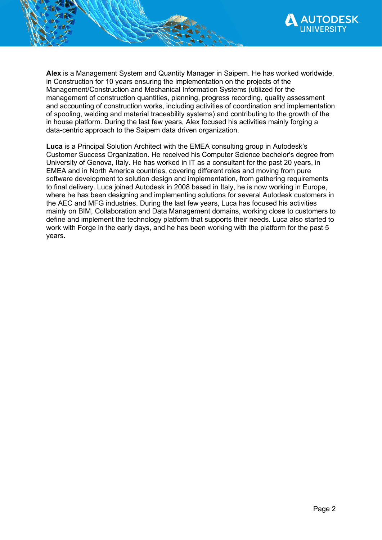

Alex is a Management System and Quantity Manager in Saipem. He has worked worldwide, in Construction for 10 years ensuring the implementation on the projects of the Management/Construction and Mechanical Information Systems (utilized for the management of construction quantities, planning, progress recording, quality assessment and accounting of construction works, including activities of coordination and implementation of spooling, welding and material traceability systems) and contributing to the growth of the in house platform. During the last few years, Alex focused his activities mainly forging a data-centric approach to the Saipem data driven organization.

Luca is a Principal Solution Architect with the EMEA consulting group in Autodesk's Customer Success Organization. He received his Computer Science bachelor's degree from University of Genova, Italy. He has worked in IT as a consultant for the past 20 years, in EMEA and in North America countries, covering different roles and moving from pure software development to solution design and implementation, from gathering requirements to final delivery. Luca joined Autodesk in 2008 based in Italy, he is now working in Europe, where he has been designing and implementing solutions for several Autodesk customers in the AEC and MFG industries. During the last few years, Luca has focused his activities mainly on BIM, Collaboration and Data Management domains, working close to customers to define and implement the technology platform that supports their needs. Luca also started to work with Forge in the early days, and he has been working with the platform for the past 5 years.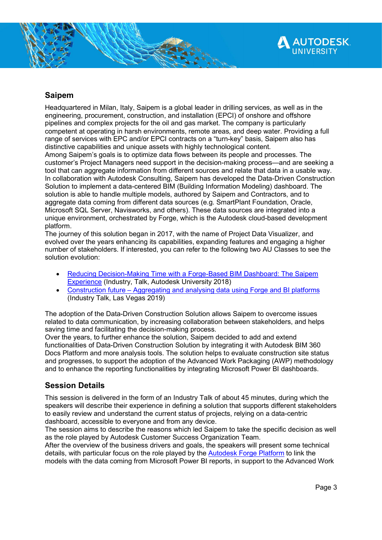

## Saipem

Headquartered in Milan, Italy, Saipem is a global leader in drilling services, as well as in the engineering, procurement, construction, and installation (EPCI) of onshore and offshore pipelines and complex projects for the oil and gas market. The company is particularly competent at operating in harsh environments, remote areas, and deep water. Providing a full range of services with EPC and/or EPCI contracts on a "turn-key" basis, Saipem also has distinctive capabilities and unique assets with highly technological content.

Among Saipem's goals is to optimize data flows between its people and processes. The customer's Project Managers need support in the decision-making process—and are seeking a tool that can aggregate information from different sources and relate that data in a usable way. In collaboration with Autodesk Consulting, Saipem has developed the Data-Driven Construction Solution to implement a data-centered BIM (Building Information Modeling) dashboard. The solution is able to handle multiple models, authored by Saipem and Contractors, and to aggregate data coming from different data sources (e.g. SmartPlant Foundation, Oracle, Microsoft SQL Server, Navisworks, and others). These data sources are integrated into a unique environment, orchestrated by Forge, which is the Autodesk cloud-based development platform.

The journey of this solution began in 2017, with the name of Project Data Visualizer, and evolved over the years enhancing its capabilities, expanding features and engaging a higher number of stakeholders. If interested, you can refer to the following two AU Classes to see the solution evolution:

- Reducing Decision-Making Time with a Forge-Based BIM Dashboard: The Saipem Experience (Industry, Talk, Autodesk University 2018)
- Construction future Aggregating and analysing data using Forge and BI platforms (Industry Talk, Las Vegas 2019)

The adoption of the Data-Driven Construction Solution allows Saipem to overcome issues related to data communication, by increasing collaboration between stakeholders, and helps saving time and facilitating the decision-making process.

Over the years, to further enhance the solution, Saipem decided to add and extend functionalities of Data-Driven Construction Solution by integrating it with Autodesk BIM 360 Docs Platform and more analysis tools. The solution helps to evaluate construction site status and progresses, to support the adoption of the Advanced Work Packaging (AWP) methodology and to enhance the reporting functionalities by integrating Microsoft Power BI dashboards.

## Session Details

This session is delivered in the form of an Industry Talk of about 45 minutes, during which the speakers will describe their experience in defining a solution that supports different stakeholders to easily review and understand the current status of projects, relying on a data-centric dashboard, accessible to everyone and from any device.

The session aims to describe the reasons which led Saipem to take the specific decision as well as the role played by Autodesk Customer Success Organization Team.

After the overview of the business drivers and goals, the speakers will present some technical details, with particular focus on the role played by the Autodesk Forge Platform to link the models with the data coming from Microsoft Power BI reports, in support to the Advanced Work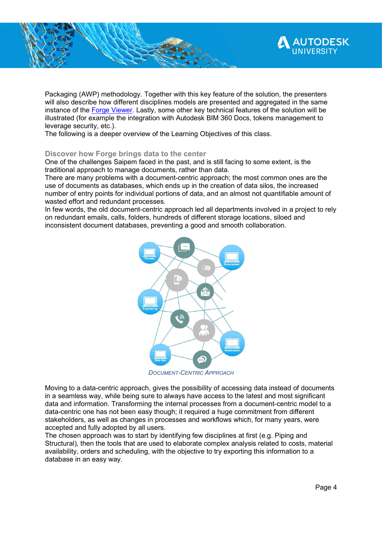

Packaging (AWP) methodology. Together with this key feature of the solution, the presenters will also describe how different disciplines models are presented and aggregated in the same instance of the Forge Viewer. Lastly, some other key technical features of the solution will be illustrated (for example the integration with Autodesk BIM 360 Docs, tokens management to leverage security, etc.).

The following is a deeper overview of the Learning Objectives of this class.

#### Discover how Forge brings data to the center

One of the challenges Saipem faced in the past, and is still facing to some extent, is the traditional approach to manage documents, rather than data.

There are many problems with a document-centric approach; the most common ones are the use of documents as databases, which ends up in the creation of data silos, the increased number of entry points for individual portions of data, and an almost not quantifiable amount of wasted effort and redundant processes.

In few words, the old document-centric approach led all departments involved in a project to rely on redundant emails, calls, folders, hundreds of different storage locations, siloed and inconsistent document databases, preventing a good and smooth collaboration.



DOCUMENT-CENTRIC APPROACH

Moving to a data-centric approach, gives the possibility of accessing data instead of documents in a seamless way, while being sure to always have access to the latest and most significant data and information. Transforming the internal processes from a document-centric model to a data-centric one has not been easy though; it required a huge commitment from different stakeholders, as well as changes in processes and workflows which, for many years, were accepted and fully adopted by all users.

The chosen approach was to start by identifying few disciplines at first (e.g. Piping and Structural), then the tools that are used to elaborate complex analysis related to costs, material availability, orders and scheduling, with the objective to try exporting this information to a database in an easy way.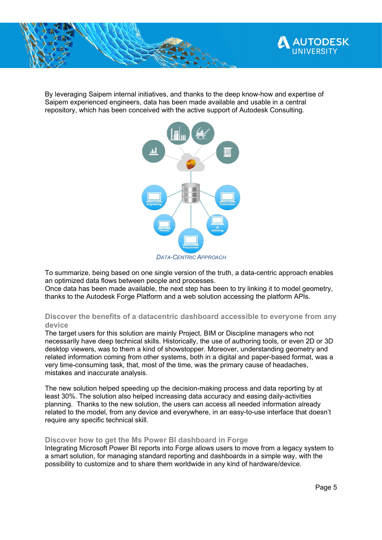

By leveraging Saipem internal initiatives, and thanks to the deep know-how and expertise of Saipem experienced engineers, data has been made available and usable in a central repository, which has been conceived with the active support of Autodesk Consulting.



To summarize, being based on one single version of the truth, a data-centric approach enables an optimized data flows between people and processes.

Once data has been made available, the next step has been to try linking it to model geometry, thanks to the Autodesk Forge Platform and a web solution accessing the platform APIs.

### Discover the benefits of a datacentric dashboard accessible to everyone from any device

The target users for this solution are mainly Project, BIM or Discipline managers who not necessarily have deep technical skills. Historically, the use of authoring tools, or even 2D or 3D desktop viewers, was to them a kind of showstopper. Moreover, understanding geometry and related information coming from other systems, both in a digital and paper-based format, was a very time-consuming task, that, most of the time, was the primary cause of headaches, mistakes and inaccurate analysis.

The new solution helped speeding up the decision-making process and data reporting by at least 30%. The solution also helped increasing data accuracy and easing daily-activities planning. Thanks to the new solution, the users can access all needed information already related to the model, from any device and everywhere, in an easy-to-use interface that doesn't require any specific technical skill.

#### Discover how to get the Ms Power BI dashboard in Forge

Integrating Microsoft Power BI reports into Forge allows users to move from a legacy system to a smart solution, for managing standard reporting and dashboards in a simple way, with the possibility to customize and to share them worldwide in any kind of hardware/device.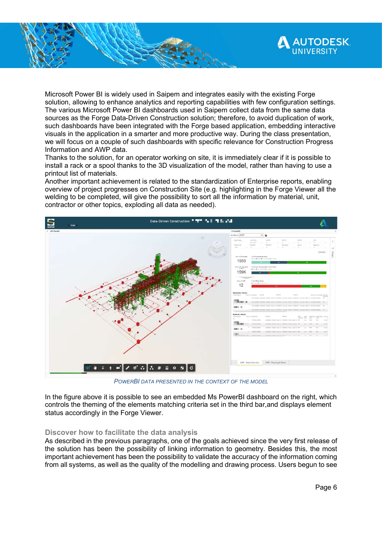

Microsoft Power BI is widely used in Saipem and integrates easily with the existing Forge solution, allowing to enhance analytics and reporting capabilities with few configuration settings. The various Microsoft Power BI dashboards used in Saipem collect data from the same data sources as the Forge Data-Driven Construction solution; therefore, to avoid duplication of work, such dashboards have been integrated with the Forge based application, embedding interactive visuals in the application in a smarter and more productive way. During the class presentation, we will focus on a couple of such dashboards with specific relevance for Construction Progress Information and AWP data.

Thanks to the solution, for an operator working on site, it is immediately clear if it is possible to install a rack or a spool thanks to the 3D visualization of the model, rather than having to use a printout list of materials.

Another important achievement is related to the standardization of Enterprise reports, enabling overview of project progresses on Construction Site (e.g. highlighting in the Forge Viewer all the welding to be completed, will give the possibility to sort all the information by material, unit, contractor or other topics, exploding all data as needed).



POWERBI DATA PRESENTED IN THE CONTEXT OF THE MODEL

In the figure above it is possible to see an embedded Ms PowerBI dashboard on the right, which controls the theming of the elements matching criteria set in the third bar,and displays element status accordingly in the Forge Viewer.

#### Discover how to facilitate the data analysis

As described in the previous paragraphs, one of the goals achieved since the very first release of the solution has been the possibility of linking information to geometry. Besides this, the most important achievement has been the possibility to validate the accuracy of the information coming from all systems, as well as the quality of the modelling and drawing process. Users begun to see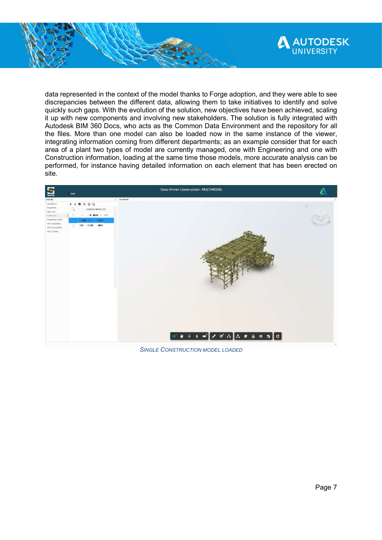

data represented in the context of the model thanks to Forge adoption, and they were able to see discrepancies between the different data, allowing them to take initiatives to identify and solve quickly such gaps. With the evolution of the solution, new objectives have been achieved, scaling it up with new components and involving new stakeholders. The solution is fully integrated with Autodesk BIM 360 Docs, who acts as the Common Data Environment and the repository for all the files. More than one model can also be loaded now in the same instance of the viewer, integrating information coming from different departments; as an example consider that for each area of a plant two types of model are currently managed, one with Engineering and one with Construction information, loading at the same time those models, more accurate analysis can be performed, for instance having detailed information on each element that has been erected on site.



SINGLE CONSTRUCTION MODEL LOADED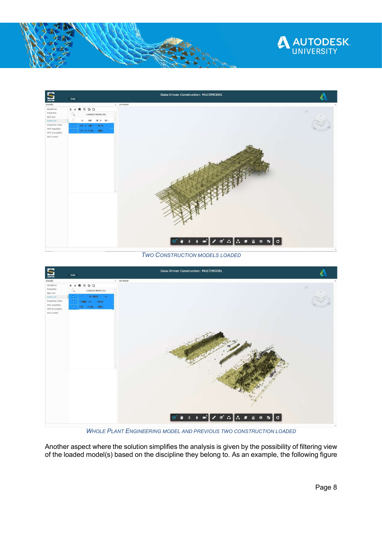



TWO CONSTRUCTION MODELS LOADED



WHOLE PLANT ENGINEERING MODEL AND PREVIOUS TWO CONSTRUCTION LOADED

Another aspect where the solution simplifies the analysis is given by the possibility of filtering view of the loaded model(s) based on the discipline they belong to. As an example, the following figure